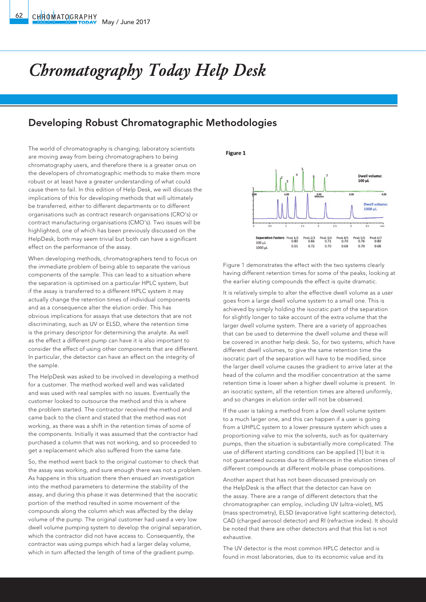## *Chromatography Today Help Desk*

## Developing Robust Chromatographic Methodologies

The world of chromatography is changing; laboratory scientists are moving away from being chromatographers to being chromatography users, and therefore there is a greater onus on the developers of chromatographic methods to make them more robust or at least have a greater understanding of what could cause them to fail. In this edition of Help Desk, we will discuss the implications of this for developing methods that will ultimately be transferred, either to different departments or to different organisations such as contract research organisations (CRO's) or contract manufacturing organisations (CMO's). Two issues will be highlighted, one of which has been previously discussed on the HelpDesk, both may seem trivial but both can have a significant effect on the performance of the assay.

When developing methods, chromatographers tend to focus on the immediate problem of being able to separate the various components of the sample. This can lead to a situation where the separation is optimised on a particular HPLC system, but if the assay is transferred to a different HPLC system it may actually change the retention times of individual components and as a consequence alter the elution order. This has obvious implications for assays that use detectors that are not discriminating, such as UV or ELSD, where the retention time is the primary descriptor for determining the analyte. As well as the effect a different pump can have it is also important to consider the effect of using other components that are different. In particular, the detector can have an effect on the integrity of the sample.

The HelpDesk was asked to be involved in developing a method for a customer. The method worked well and was validated and was used with real samples with no issues. Eventually the customer looked to outsource the method and this is where the problem started. The contractor received the method and came back to the client and stated that the method was not working, as there was a shift in the retention times of some of the components. Initially it was assumed that the contractor had purchased a column that was not working, and so proceeded to get a replacement which also suffered from the same fate.

So, the method went back to the original customer to check that the assay was working, and sure enough there was not a problem. As happens in this situation there then ensued an investigation into the method parameters to determine the stability of the assay, and during this phase it was determined that the isocratic portion of the method resulted in some movement of the compounds along the column which was affected by the delay volume of the pump. The original customer had used a very low dwell volume pumping system to develop the original separation, which the contractor did not have access to. Consequently, the contractor was using pumps which had a larger delay volume, which in turn affected the length of time of the gradient pump.

Figure 1



Figure 1 demonstrates the effect with the two systems clearly having different retention times for some of the peaks, looking at the earlier eluting compounds the effect is quite dramatic.

It is relatively simple to alter the effective dwell volume as a user goes from a large dwell volume system to a small one. This is achieved by simply holding the isocratic part of the separation for slightly longer to take account of the extra volume that the larger dwell volume system. There are a variety of approaches that can be used to determine the dwell volume and these will be covered in another help desk. So, for two systems, which have different dwell volumes, to give the same retention time the isocratic part of the separation will have to be modified, since the larger dwell volume causes the gradient to arrive later at the head of the column and the modifier concentration at the same retention time is lower when a higher dwell volume is present. In an isocratic system, all the retention times are altered uniformly, and so changes in elution order will not be observed.

If the user is taking a method from a low dwell volume system to a much larger one, and this can happen if a user is going from a UHPLC system to a lower pressure system which uses a proportioning valve to mix the solvents, such as for quaternary pumps, then the situation is substantially more complicated. The use of different starting conditions can be applied [1] but it is not guaranteed success due to differences in the elution times of different compounds at different mobile phase compositions.

Another aspect that has not been discussed previously on the HelpDesk is the effect that the detector can have on the assay. There are a range of different detectors that the chromatographer can employ, including UV (ultra-violet), MS (mass spectrometry), ELSD (evaporative light scattering detector), CAD (charged aerosol detector) and RI (refractive index). It should be noted that there are other detectors and that this list is not exhaustive.

The UV detector is the most common HPLC detector and is found in most laboratories, due to its economic value and its